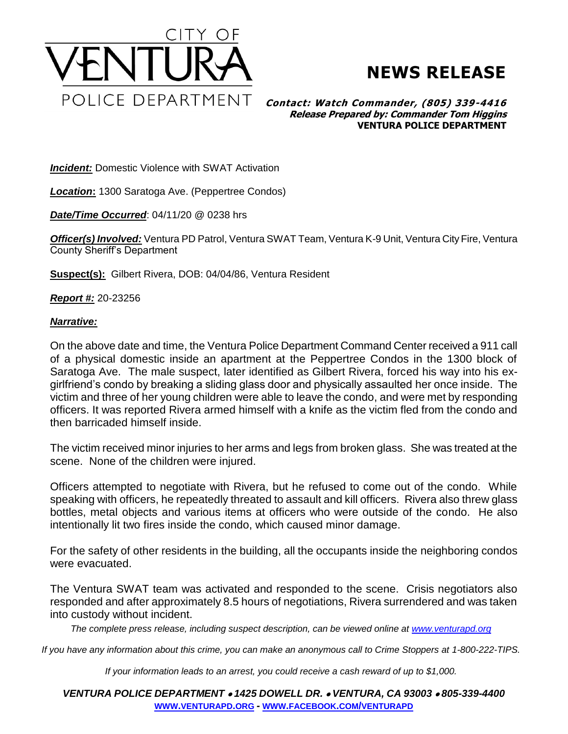

## **NEWS RELEASE**

**Contact: Watch Commander, (805) 339-4416 Release Prepared by: Commander Tom Higgins VENTURA POLICE DEPARTMENT**

**Incident:** Domestic Violence with SWAT Activation

*Location***:** 1300 Saratoga Ave. (Peppertree Condos)

*Date/Time Occurred*: 04/11/20 @ 0238 hrs

*Officer(s) Involved:* Ventura PD Patrol, Ventura SWAT Team, Ventura K-9 Unit, Ventura City Fire, Ventura County Sheriff's Department

**Suspect(s):** Gilbert Rivera, DOB: 04/04/86, Ventura Resident

*Report #:* 20-23256

## *Narrative:*

On the above date and time, the Ventura Police Department Command Center received a 911 call of a physical domestic inside an apartment at the Peppertree Condos in the 1300 block of Saratoga Ave. The male suspect, later identified as Gilbert Rivera, forced his way into his exgirlfriend's condo by breaking a sliding glass door and physically assaulted her once inside. The victim and three of her young children were able to leave the condo, and were met by responding officers. It was reported Rivera armed himself with a knife as the victim fled from the condo and then barricaded himself inside.

The victim received minor injuries to her arms and legs from broken glass. She was treated at the scene. None of the children were injured.

Officers attempted to negotiate with Rivera, but he refused to come out of the condo. While speaking with officers, he repeatedly threated to assault and kill officers. Rivera also threw glass bottles, metal objects and various items at officers who were outside of the condo. He also intentionally lit two fires inside the condo, which caused minor damage.

For the safety of other residents in the building, all the occupants inside the neighboring condos were evacuated.

The Ventura SWAT team was activated and responded to the scene. Crisis negotiators also responded and after approximately 8.5 hours of negotiations, Rivera surrendered and was taken into custody without incident.

*The complete press release, including suspect description, can be viewed online at [www.venturapd.org](http://www.venturapd.org/)*

*If you have any information about this crime, you can make an anonymous call to Crime Stoppers at 1-800-222-TIPS.*

*If your information leads to an arrest, you could receive a cash reward of up to \$1,000.*

*VENTURA POLICE DEPARTMENT 1425 DOWELL DR. VENTURA, CA 93003 805-339-4400* **WWW.[VENTURAPD](http://www.venturapd.org/).ORG** *-* **WWW.FACEBOOK.COM/[VENTURAPD](http://www.facebook.com/venturapd)**